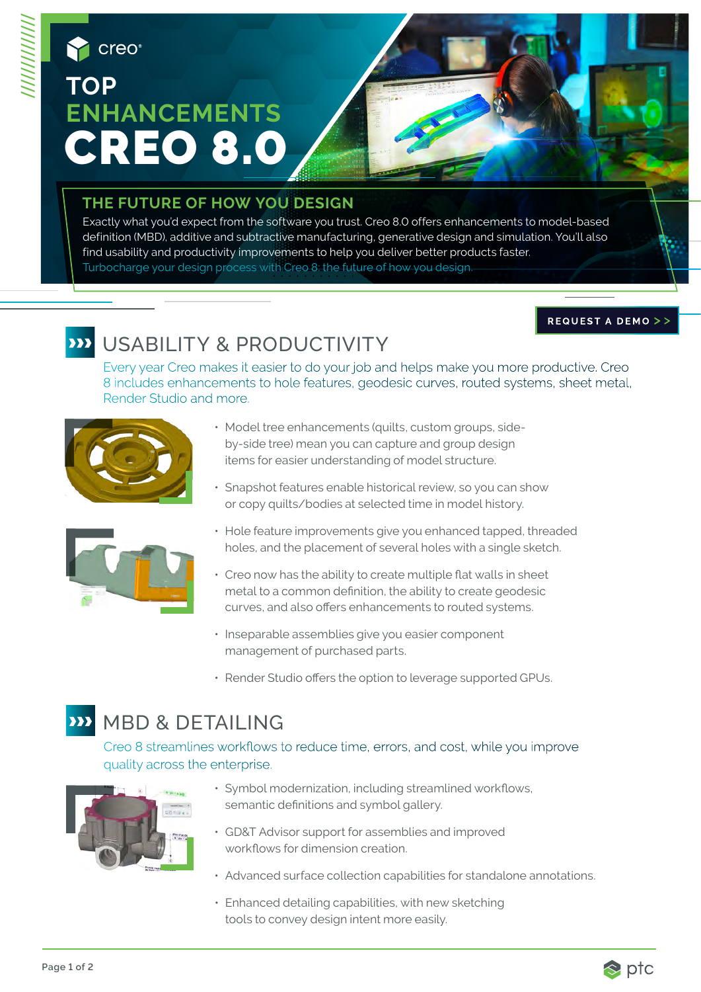# creo **TOP ENHANCEMENTS** CREO 8.

#### **THE FUTURE OF HOW YOU DESIGN**

Exactly what you'd expect from the software you trust. Creo 8.0 offers enhancements to model-based definition (MBD), additive and subtractive manufacturing, generative design and simulation. You'll also find usability and productivity improvements to help you deliver better products faster. Turbocharge your design process with Creo 8: the future of how you design.

#### REQUEST A DEMO >>

## **ED** USABILITY & PRODUCTIVITY

Every year Creo makes it easier to do your job and helps make you more productive. Creo 8 includes enhancements to hole features, geodesic curves, routed systems, sheet metal, Render Studio and more.



- Model tree enhancements (quilts, custom groups, sideby-side tree) mean you can capture and group design items for easier understanding of model structure.
- Snapshot features enable historical review, so you can show or copy quilts/bodies at selected time in model history.



- Hole feature improvements give you enhanced tapped, threaded holes, and the placement of several holes with a single sketch.
- Creo now has the ability to create multiple flat walls in sheet metal to a common definition, the ability to create geodesic curves, and also offers enhancements to routed systems.
- Inseparable assemblies give you easier component management of purchased parts.
- Render Studio offers the option to leverage supported GPUs.

## **WED & DETAILING**

Creo 8 streamlines workflows to reduce time, errors, and cost, while you improve quality across the enterprise.



- Symbol modernization, including streamlined workflows, semantic definitions and symbol gallery.
- GD&T Advisor support for assemblies and improved workflows for dimension creation.
- Advanced surface collection capabilities for standalone annotations.
- Enhanced detailing capabilities, with new sketching tools to convey design intent more easily.